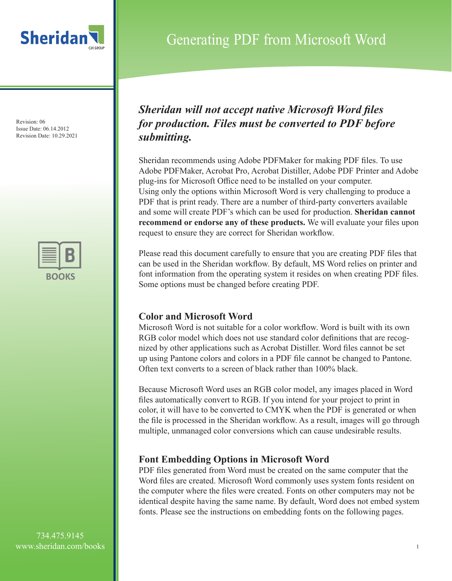



## Generating PDF from Microsoft Word

### *Sheridan will not accept native Microsoft Word files for production. Files must be converted to PDF before submitting.*

Sheridan recommends using Adobe PDFMaker for making PDF files. To use Adobe PDFMaker, Acrobat Pro, Acrobat Distiller, Adobe PDF Printer and Adobe plug-ins for Microsoft Office need to be installed on your computer. Using only the options within Microsoft Word is very challenging to produce a PDF that is print ready. There are a number of third-party converters available and some will create PDF's which can be used for production. **Sheridan cannot recommend or endorse any of these products.** We will evaluate your files upon request to ensure they are correct for Sheridan workflow.

Please read this document carefully to ensure that you are creating PDF files that can be used in the Sheridan workflow. By default, MS Word relies on printer and font information from the operating system it resides on when creating PDF files. Some options must be changed before creating PDF.

### **Color and Microsoft Word**

Microsoft Word is not suitable for a color workflow. Word is built with its own RGB color model which does not use standard color definitions that are recognized by other applications such as Acrobat Distiller. Word files cannot be set up using Pantone colors and colors in a PDF file cannot be changed to Pantone. Often text converts to a screen of black rather than 100% black.

Because Microsoft Word uses an RGB color model, any images placed in Word files automatically convert to RGB. If you intend for your project to print in color, it will have to be converted to CMYK when the PDF is generated or when the file is processed in the Sheridan workflow. As a result, images will go through multiple, unmanaged color conversions which can cause undesirable results.

### **Font Embedding Options in Microsoft Word**

PDF files generated from Word must be created on the same computer that the Word files are created. Microsoft Word commonly uses system fonts resident on the computer where the files were created. Fonts on other computers may not be identical despite having the same name. By default, Word does not embed system fonts. Please see the instructions on embedding fonts on the following pages.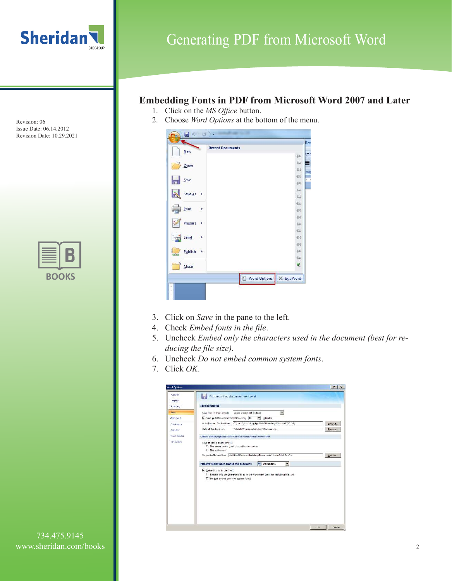

### **Embedding Fonts in PDF from Microsoft Word 2007 and Later**

- 1. Click on the *MS Office* button.
- 2. Choose *Word Options* at the bottom of the menu.



- 3. Click on *Save* in the pane to the left.
- 4. Check *Embed fonts in the file*.
- 5. Uncheck *Embed only the characters used in the document (best for re ducing the file size)*.
- 6. Uncheck *Do not embed common system fonts*.
- 7. Click *OK*.

| <b>Word Options</b> |                                                                                                                                                         | $\mathbf{r}$<br>$\times$ |
|---------------------|---------------------------------------------------------------------------------------------------------------------------------------------------------|--------------------------|
| Popular<br>Display  | Customize how documents are saved.                                                                                                                      |                          |
| Propfing            | <b>Save documents</b>                                                                                                                                   |                          |
| Saue:               | Word Document (*.doo)<br>Save files in this format:<br>٠                                                                                                |                          |
| Advanced.           | ₩<br>F Save AutoRecover information every 10<br>minutes.                                                                                                |                          |
| Customize           | C/Users/dbidding/AppDatal/Roaming/Microsoft/Word/<br>AutoRecover file location:                                                                         | Browse.                  |
| Add-Ins             | \\sbifile01\users\dbidding\Documents\<br>Default file locations                                                                                         | Erowse.                  |
| <b>Trust Center</b> | Offline editing options for document management server files                                                                                            |                          |
|                     | F The server drafts location on this computer<br>C The web server<br>Server drafts location: \\sbiflie01\users\dbidding\Documents\SharePoint Drafts\    | Browse.                  |
|                     | $\cdot$<br>Document1<br>Preserve fidelity when sharing this document:                                                                                   |                          |
|                     | $\nabla$ Unbed fonts in the file<br>E Embed only the characters used in the document (best for reducing file size)<br>Do not embed common system fonts! |                          |
|                     |                                                                                                                                                         | <b>OK</b><br>Cancel      |

Revision: 06 Issue Date: 06.14.2012 Revision Date: 10.29.2021

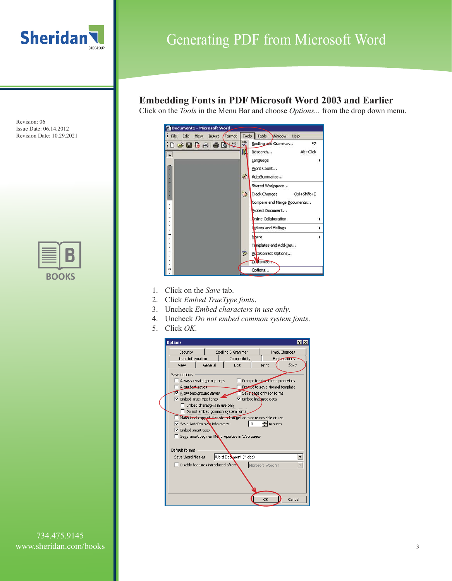



## Generating PDF from Microsoft Word

### **Embedding Fonts in PDF Microsoft Word 2003 and Earlier**

Click on the *Tools* in the Menu Bar and choose *Options...* from the drop down menu.



- 1. Click on the *Save* tab.
- 2. Click *Embed TrueType fonts*.
- 3. Uncheck *Embed characters in use only*.
- 4. Uncheck *Do not embed common system fonts*.
- 5. Click *OK*.



734.475.9145 www.sheridan.com/books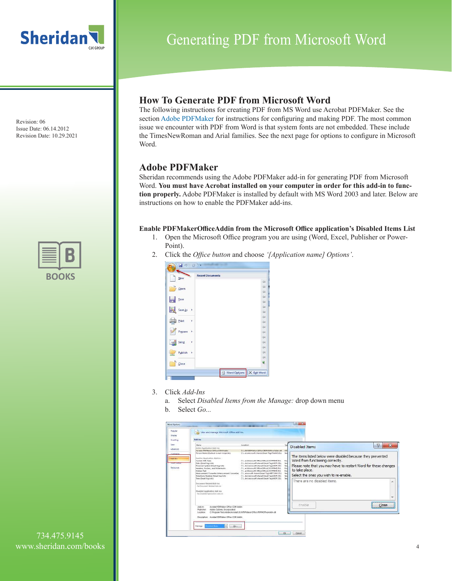



## Generating PDF from Microsoft Word

### **How To Generate PDF from Microsoft Word**

The following instructions for creating PDF from MS Word use Acrobat PDFMaker. See the section Adobe PDFMaker for instructions for configuring and making PDF. The most common issue we encounter with PDF from Word is that system fonts are not embedded. These include the TimesNewRoman and Arial families. See the next page for options to configure in Microsoft Word.

### **Adobe PDFMaker**

Sheridan recommends using the Adobe PDFMaker add-in for generating PDF from Microsoft Word. **You must have Acrobat installed on your computer in order for this add-in to function properly.** Adobe PDFMaker is installed by default with MS Word 2003 and later. Below are instructions on how to enable the PDFMaker add-ins.

#### **Enable PDFMakerOfficeAddin from the Microsoft Office application's Disabled Items List**

- 1. Open the Microsoft Office program you are using (Word, Excel, Publisher or Power-Point).
- 2. Click the *Office button* and choose *'[Application name] Options'*.

| New                              | <b>Recent Documents</b>     |
|----------------------------------|-----------------------------|
|                                  | $-644$                      |
| Qpen                             | $-\frac{1}{2}$              |
|                                  | $-64$                       |
| Save<br>١u                       | 一                           |
|                                  | $-64$                       |
| Save $As \rightarrow$            | $-\sqrt{2}$                 |
|                                  | $-\frac{1}{2}$<br>$-\infty$ |
| Print<br>۴                       | $-041$                      |
|                                  | $-64$                       |
| Prepare<br>$\ddot{\phantom{1}}$  | $-\frac{1}{2}$              |
|                                  | 一                           |
| Send<br>٢                        | $\approx$                   |
|                                  | $-34$                       |
| Publish<br>$\blacktriangleright$ | $-\frac{1}{2}$              |
|                                  | $-\Box$                     |
| $\overline{\mathsf{Close}}$      | Q                           |

- 3. Click *Add-Ins*
	- a. Select *Disabled Items from the Manage:* drop down menu
	- b. Select *Go...*

| Popular<br>Display             | View and manage Microsoft Office add-inc.                                                                                                                                                                                     |                                                                                                                                                                                                                                                                                                                                  |                                                               |                                                                                                                             |
|--------------------------------|-------------------------------------------------------------------------------------------------------------------------------------------------------------------------------------------------------------------------------|----------------------------------------------------------------------------------------------------------------------------------------------------------------------------------------------------------------------------------------------------------------------------------------------------------------------------------|---------------------------------------------------------------|-----------------------------------------------------------------------------------------------------------------------------|
| Preofing                       | Arid-ins                                                                                                                                                                                                                      |                                                                                                                                                                                                                                                                                                                                  |                                                               |                                                                                                                             |
| <b>SAVE</b><br>Lawrord.        | täsme<br>Active Application Add ins<br>Aprobat PDFMaker Office CDM Addin                                                                                                                                                      | tocation<br>C1. 0.0/PDFMaker/Office/PDFMOffineAddin.dl/                                                                                                                                                                                                                                                                          | Typ<br><b>CO</b>                                              | 2<br>×<br><b>Disabled Items</b>                                                                                             |
| Contractor<br>kno.bir          | Person Name (Outlook e-mail reoprents)<br>Inactive Application Add ins-<br>Custom VAR, Data                                                                                                                                   | C/L. estations oft shared Sixan Tag Philade DLL<br>C/L: st/Microsoft Office: DWice12\OFFRHD.DLL                                                                                                                                                                                                                                  | Sav<br>Dog                                                    | The items listed below were disabled because they prevented<br>Word from functioning correctly.                             |
| <b>Innistante</b><br>Resources | Date ISmart tag lists<br>Pinensial Symbol Breart tag lists!<br>Headers Footers, and Watermades<br>Hidden Text<br>Measurement Converter (Measurement Converter)<br>Telephone Number (Smart hag lists)<br>Time (Smart too kits) | C/L. Fesimicrosoft shared Smart TagiMOFLDLL<br>C1. Extintmount charge Smart Tap/ANOPLDLL<br>C1. academist Office Office12 OFFRED.DIL<br>C1. at Microsoft Office Office 27/OFFEHD.DU.<br>CA  microsoft shared Smart Tag METCONV.DLL<br>C.L. Seconicrosoft shared Smart Tag (MOPLDL)<br>CS. Restructosoft shared Smart Tag MOFLDU. | Sing<br>Smi<br>Doc <sup>1</sup><br>Dog<br>Sing<br>Stu<br>Sing | Please note that you may have to restart Word for these changes<br>to take place.<br>Select the ones you wish to re-enable. |
|                                | Document Retided Add-ins.<br>Aid Danisment Deleted Andrew<br>Disabled Application Add-Ins.<br>No Dissiplied Apparentium Add Jim                                                                                               |                                                                                                                                                                                                                                                                                                                                  |                                                               | There are no disabled items.<br>×<br>$\overline{\phantom{a}}$                                                               |
|                                | $AdS-181$<br>Acrobat PDFMaker Office COM Addin<br>Adobe Systems, Incorporated<br>Publisher<br>toution<br>Despription: Acrobat POPMator Office COM Addin.                                                                      | C:Program FilesyAdobe\Acrobat 10.0/PDFMaker\Office\PDFMOfficeAddin.dll                                                                                                                                                                                                                                                           |                                                               | Enable<br>Close<br>,,,,,,,,,,,,,,,,,,,,,,,,,,,,,,,,                                                                         |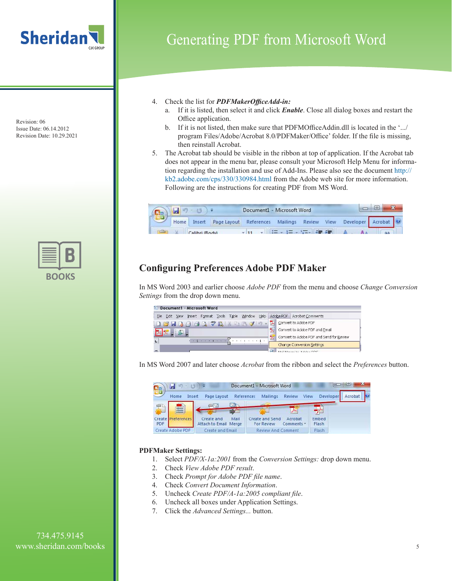



### Generating PDF from Microsoft Word

- 4. Check the list for *PDFMakerOfficeAdd-in:*
	- a. If it is listed, then select it and click *Enable*. Close all dialog boxes and restart the Office application.
	- b. If it is not listed, then make sure that PDFMOfficeAddin.dll is located in the '.../ program Files/Adobe/Acrobat 8.0/PDFMaker/Office' folder. If the file is missing, then reinstall Acrobat.
- 5. The Acrobat tab should be visible in the ribbon at top of application. If the Acrobat tab does not appear in the menu bar, please consult your Microsoft Help Menu for information regarding the installation and use of Add-Ins. Please also see the document http:// kb2.adobe.com/cps/330/330984.html from the Adobe web site for more information. Following are the instructions for creating PDF from MS Word.



### **Configuring Preferences Adobe PDF Maker**

In MS Word 2003 and earlier choose *Adobe PDF* from the menu and choose *Change Conversion Settings* from the drop down menu.

| 뽜    | Document1 - Microsoft Word |                           |      |                 |                                                        |  |
|------|----------------------------|---------------------------|------|-----------------|--------------------------------------------------------|--|
| File | Insert<br>Edit View        | Format Tools Table Window | Help |                 | Adobe PDF   Acrobat Comments                           |  |
|      |                            |                           |      | Ā.<br><b>BE</b> | Convert to Adobe PDF<br>Convert to Adobe PDF and Email |  |
|      |                            |                           |      | X               | Convert to Adobe PDF and Send for Review               |  |
|      |                            |                           |      |                 | <b>Change Conversion Settings</b>                      |  |
|      |                            |                           |      |                 | Moi Morge to Adobe DDE                                 |  |

In MS Word 2007 and later choose *Acrobat* from the ribbon and select the *Preferences* button.

|     | $17 - 17$          | 下草                                  | Document1 - Microsoft Word |                                      |                       |      |                | 旦       | × |
|-----|--------------------|-------------------------------------|----------------------------|--------------------------------------|-----------------------|------|----------------|---------|---|
|     | Home               | Insert<br>Page Layout               | References                 | <b>Mailings</b>                      | Review                | View | Developer      | Acrobat |   |
|     | Ξ                  | 5년                                  | i zir                      |                                      |                       |      |                |         |   |
| PDF | Create Preferences | Create and<br>Attach to Email Merge | Mail                       | Create and Send<br><b>For Review</b> | Acrobat<br>Comments * |      | Embed<br>Flash |         |   |
|     | Create Adobe PDF   | Create and Email                    |                            | <b>Review And Comment</b>            |                       |      | Flash          |         |   |

#### **PDFMaker Settings:**

- 1. Select *PDF/X-1a:2001* from the *Conversion Settings:* drop down menu.
- 2. Check *View Adobe PDF result*.
- 3. Check *Prompt for Adobe PDF file name*.
- 4. Check *Convert Document Information*.
- 5. Uncheck *Create PDF/A-1a:2005 compliant file*.
- 6. Uncheck all boxes under Application Settings.
- 7. Click the *Advanced Settings...* button.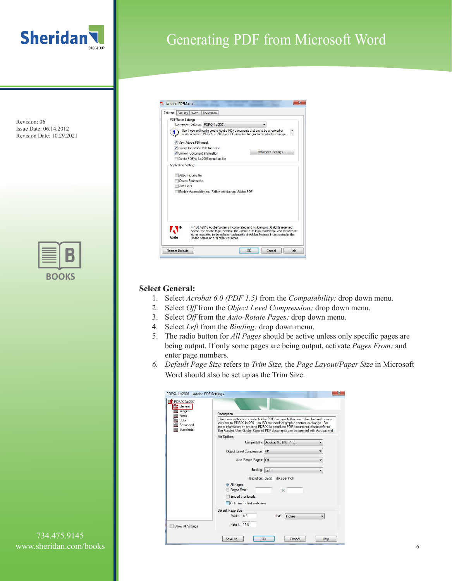

## Generating PDF from Microsoft Word

Revision: 06 Issue Date: 06.14.2012 Revision Date: 10.29.2021



| Use these settings to create Adobe PDF documents that are to be checked or<br>must conform to PDF/X-1a:2001, an ISO standard for graphic content exchange.<br>Advanced Settings<br>Enable Accessibility and Reflow with tagged Adobe PDF                       |
|----------------------------------------------------------------------------------------------------------------------------------------------------------------------------------------------------------------------------------------------------------------|
|                                                                                                                                                                                                                                                                |
|                                                                                                                                                                                                                                                                |
|                                                                                                                                                                                                                                                                |
|                                                                                                                                                                                                                                                                |
|                                                                                                                                                                                                                                                                |
| <sup>®</sup> 1987-2010 Adobe Systems Incorporated and its licensors. All rights reserved.<br>Adobe, the Adobe logo, Acrobat, the Adobe PDF logo, PostScript, and Reader are<br>either registered trademarks or trademarks of Adobe Systems Incorporated in the |
|                                                                                                                                                                                                                                                                |
|                                                                                                                                                                                                                                                                |

#### **Select General:**

- 1. Select *Acrobat 6.0 (PDF 1.5)* from the *Compatability:* drop down menu.
- 2. Select *Off* from the *Object Level Compression:* drop down menu.
- 3. Select *Off* from the *Auto-Rotate Pages:* drop down menu.
- 4. Select *Left* from the *Binding:* drop down menu.
- 5. The radio button for *All Pages* should be active unless only specific pages are being output. If only some pages are being output, activate *Pages From:* and enter page numbers.
- *6. Default Page Size* refers to *Trim Size,* the *Page Layout/Paper Size* in Microsoft Word should also be set up as the Trim Size.

| PDF/X-1a:2001<br>General              |                                                                              |                                                                                                                                                                                                                                                  |   |
|---------------------------------------|------------------------------------------------------------------------------|--------------------------------------------------------------------------------------------------------------------------------------------------------------------------------------------------------------------------------------------------|---|
| mages<br>Fonts                        | Description                                                                  |                                                                                                                                                                                                                                                  |   |
| Color<br>Advanced<br><b>Standards</b> | the Acrobat User Guide. Created PDF documents can be opened with Acrobat and | Use these settings to create Adobe PDF documents that are to be checked or must<br>conform to PDF/X-1a:2001, an ISO standard for graphic content exchange. For<br>more information on creating PDF/X-1a compliant PDF documents, please refer to |   |
|                                       | <b>File Options</b>                                                          |                                                                                                                                                                                                                                                  |   |
|                                       |                                                                              | Compatibility: Acrobat 6.0 (PDF 1.5)                                                                                                                                                                                                             |   |
|                                       | Object Level Compression: Off                                                |                                                                                                                                                                                                                                                  | ۰ |
|                                       | Auto-Rotate Pages: Off                                                       |                                                                                                                                                                                                                                                  |   |
|                                       | Binding: Left                                                                |                                                                                                                                                                                                                                                  |   |
|                                       | Resolution: 2400                                                             | dots per inch                                                                                                                                                                                                                                    |   |
|                                       | All Pages                                                                    |                                                                                                                                                                                                                                                  |   |
|                                       | Pages From:                                                                  | To:                                                                                                                                                                                                                                              |   |
|                                       | <b>Embed thumbnails</b>                                                      |                                                                                                                                                                                                                                                  |   |
|                                       | Optimize for fast web view                                                   |                                                                                                                                                                                                                                                  |   |
|                                       | Default Page Size                                                            |                                                                                                                                                                                                                                                  |   |
|                                       | Width: 8.5                                                                   | Units:<br>Inches                                                                                                                                                                                                                                 | ۰ |
| Show All Settings                     | Height: 11.0                                                                 |                                                                                                                                                                                                                                                  |   |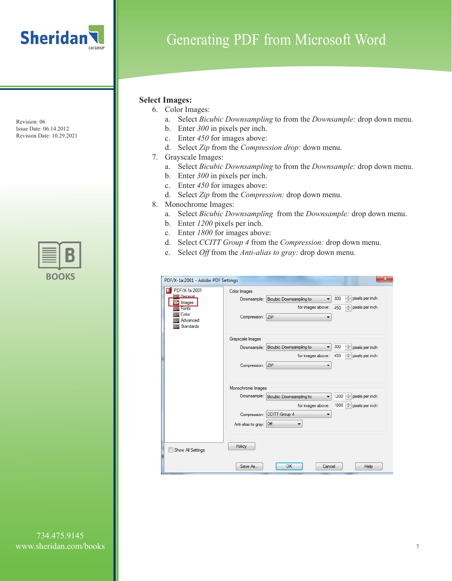

## Generating PDF from Microsoft Word

#### **Select Images:**

- 6. Color Images:
	- a. Select *Bicubic Downsampling* to from the *Downsample:* drop down menu.
	- b. Enter *300* in pixels per inch.
	- c. Enter *450* for images above:
	- d. Select *Zip* from the *Compression drop:* down menu.
- 7. Grayscale Images:
	- a. Select *Bicubic Downsampling* to from the *Downsample:* drop down menu.
	- b. Enter *300* in pixels per inch.
	- c. Enter *450* for images above:
	- d. Select *Zip* from the *Compression:* drop down menu.
- 8. Monochrome Images:
	- a. Select *Bicubic Downsampling* from the *Downsample:* drop down menu.
	- b. Enter *1200* pixels per inch.
	- c. Enter *1800* for images above:
	- d. Select *CCITT Group 4* from the *Compression:* drop down menu.
	- e. Select *Off* from the *Anti-alias to gray:* drop down menu.

| PDF/X-1a:2001                  | Color Images                                                                                                  |  |
|--------------------------------|---------------------------------------------------------------------------------------------------------------|--|
| General<br>Images              | pixels per inch<br>÷<br>300<br>Bicubic Downsampling to<br>Downsample:<br>$\left  \cdot \right $               |  |
| Forts                          | for images above:<br>pixels per inch<br>450                                                                   |  |
| Color<br>Advanced<br>Standards | Compression: ZIP                                                                                              |  |
|                                | Grayscale Images                                                                                              |  |
|                                | 300<br>$\frac{1}{x}$ pixels per inch<br>Bicubic Downsampling to<br>$\blacktriangledown$<br>Downsample:        |  |
|                                | $\Rightarrow$ pixels per inch<br>for images above:<br>450                                                     |  |
|                                | ZIP<br>Compression:<br>▼                                                                                      |  |
|                                | Monochrome Images                                                                                             |  |
|                                | Downsample:   Bicubic Downsampling to<br>1200<br>$\frac{A}{x}$<br>pixels per inch<br>$\overline{\phantom{a}}$ |  |
|                                | 1800 $\div$ pixels per inch<br>for images above:                                                              |  |
|                                | CCITT Group 4<br>Compression:<br>▼                                                                            |  |
|                                | Anti-alias to gray: Off<br>$\overline{\phantom{a}}$                                                           |  |
| Show All Settings              | Policy                                                                                                        |  |
|                                |                                                                                                               |  |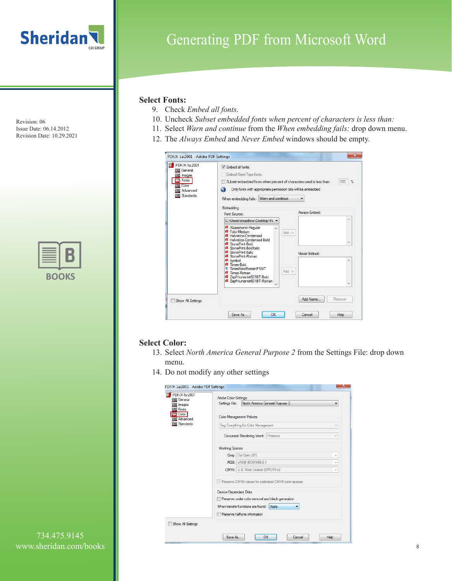

| ٠ | u. |
|---|----|

## Generating PDF from Microsoft Word

#### **Select Fonts:**

- 9. Check *Embed all fonts*.
- 10. Uncheck *Subset embedded fonts when percent of characters is less than:*
- 11. Select *Warn and continue* from the *When embedding fails:* drop down menu.
- 12. The *Always Embed* and *Never Embed* windows should be empty.

| <b>PDF/X-1a:2001</b><br>General | V Embed all fonts                                                                                                                                                                                                                                                                                                                                                          |                                                               |
|---------------------------------|----------------------------------------------------------------------------------------------------------------------------------------------------------------------------------------------------------------------------------------------------------------------------------------------------------------------------------------------------------------------------|---------------------------------------------------------------|
| Images                          | Embed Open Type fonts                                                                                                                                                                                                                                                                                                                                                      |                                                               |
| Fonts                           | Subset embedded fonts when percent of characters used is less than:                                                                                                                                                                                                                                                                                                        | 100<br>$\gamma_{\rm e}$                                       |
| Color<br>Advanced               | Only fonts with appropriate permission bits will be embedded<br>G.                                                                                                                                                                                                                                                                                                         |                                                               |
| Standards                       |                                                                                                                                                                                                                                                                                                                                                                            |                                                               |
|                                 | When embedding fails: Wam and continue                                                                                                                                                                                                                                                                                                                                     |                                                               |
|                                 | Embedding                                                                                                                                                                                                                                                                                                                                                                  |                                                               |
|                                 | Font Source:                                                                                                                                                                                                                                                                                                                                                               | Always Embed:                                                 |
|                                 | C:\Users\kmaidlow\Desktop\Fc                                                                                                                                                                                                                                                                                                                                               |                                                               |
|                                 | <b>4</b> AGaramond-Regular<br>۸<br><b>4</b> Folio-Medium<br><b>4</b> Helvetica-Condensed<br><b>4</b> Helvetica-Condensed-Bold<br>4 StonePrint-Bold<br>4 StonePrint-BoldItalic<br><b>4</b> StonePrint-Italic<br>4 StonePrint-Roman<br><b>a</b> Symbol<br><b>4</b> Times-Bold<br>T TimesNewRomanPSMT<br>4 Times-Roman<br>2 ZapfHumanist601BT-Bold<br>ZapfHumanist601BT-Roman | $Add$ $\rightarrow$<br>Never Embed:<br>×<br>$Add \rightarrow$ |
| Show All Settings               |                                                                                                                                                                                                                                                                                                                                                                            | Add Name<br>Remove                                            |

#### **Select Color:**

- 13. Select *North America General Purpose 2* from the Settings File: drop down menu.
- 14. Do not modify any other settings

|                                                                                                                                                                                 | ۰                                                                         |
|---------------------------------------------------------------------------------------------------------------------------------------------------------------------------------|---------------------------------------------------------------------------|
| <b>Color Management Policies</b>                                                                                                                                                |                                                                           |
| Tag Everything for Color Management                                                                                                                                             | ÷                                                                         |
| Document Rendering Intent: Preserve                                                                                                                                             | $\sim$                                                                    |
| <b>Working Spaces</b>                                                                                                                                                           |                                                                           |
| Gray: Dot Gain 20%                                                                                                                                                              | $\sim$                                                                    |
| RGB: sRGB IEC61966-2.1                                                                                                                                                          | w                                                                         |
| CMYK: U.S. Web Coated (SWOP) v2                                                                                                                                                 | v.                                                                        |
| Preserve CMYK values for calibrated CMYK color spaces<br>Device-Dependent Data<br>Preserve under color removal and black generation<br>When transfer functions are found: Apply |                                                                           |
| Preserve halftone information                                                                                                                                                   |                                                                           |
|                                                                                                                                                                                 | Adobe Color Settings<br>North America General Purpose 2<br>Settings File: |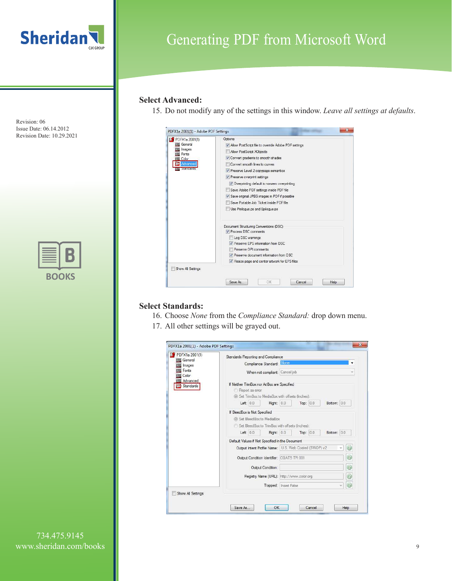

| $\blacksquare$ | UK            |
|----------------|---------------|
| ÷              | $\mathcal{L}$ |

# Generating PDF from Microsoft Word

#### **Select Advanced:**

15. Do not modify any of the settings in this window. *Leave all settings at defaults*.

| <b>B</b> PDFX1a 2001(1) | Options                                                 |  |
|-------------------------|---------------------------------------------------------|--|
| General                 | V Allow Post Script file to override Adobe PDF settings |  |
| Images<br>Fonts         | Allow PostScript XObjects                               |  |
| Color                   | Convert gradients to smooth shades                      |  |
| Advanced                | Convert smooth lines to curves                          |  |
| standards               | V Preserve Level 2 copypage semantics                   |  |
|                         | Preserve overprint settings                             |  |
|                         | V Overprinting default is nonzero overprinting          |  |
|                         | Save Adobe PDF settings inside PDF file                 |  |
|                         | V Save original JPEG images in PDF if possible          |  |
|                         | Save Portable Job Ticket inside PDF file                |  |
|                         | Use Prologue.ps and Epiloque.ps                         |  |
|                         | Document Structuring Conventions (DSC)                  |  |
|                         | Process DSC comments                                    |  |
|                         | Log DSC warnings                                        |  |
|                         | Preserve EPS information from DSC                       |  |
|                         | Preserve OPI comments                                   |  |
|                         | V Preserve document information from DSC                |  |
|                         | V Resize page and center artwork for EPS files          |  |

#### **Select Standards:**

- 16. Choose *None* from the *Compliance Standard:* drop down menu.
- 17. All other settings will be grayed out.

| PDFX1a 2001(1)<br>General | Standards Reporting and Compliance                            |
|---------------------------|---------------------------------------------------------------|
| Images                    | Compliance Standard: None                                     |
| Advanced<br>Standards     | When not compliant: Cancel job                                |
|                           | If Neither TrimBox nor ArtBox are Specified                   |
|                           | Report as error                                               |
|                           | Set TrimBox to MediaBox with offsets (Inches):                |
|                           | Left: $0.0$<br>Right: 0.0<br>Bottom: 0.0<br>Top: 0.0          |
|                           | If BleedBox is Not Specified                                  |
|                           |                                                               |
|                           | (@) Set BleedBox to MediaBox                                  |
|                           | Set BleedBox to TrimBox with offsets (Inches):                |
|                           | Left: $0.0$<br>Right: 0.0<br>Top: 0.0<br>Bottom: 0.0          |
|                           | Default Values if Not Specified in the Document               |
|                           | Output Intent Profile Name:   U.S. Web Coated (SWOP) v2<br>×. |
|                           | ⊌<br>Output Condition Identifier: CGATS TR 001                |
|                           | ø<br>Output Condition:                                        |
|                           | 0<br>Registry Name (URL): http://www.color.org                |